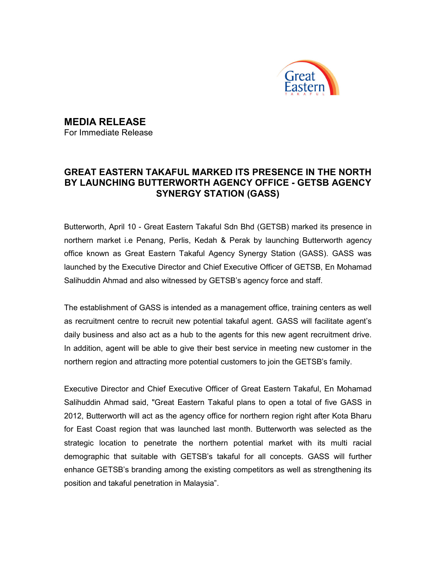

MEDIA RELEASE

For Immediate Release

## GREAT EASTERN TAKAFUL MARKED ITS PRESENCE IN THE NORTH BY LAUNCHING BUTTERWORTH AGENCY OFFICE - GETSB AGENCY SYNERGY STATION (GASS)

Butterworth, April 10 - Great Eastern Takaful Sdn Bhd (GETSB) marked its presence in northern market i.e Penang, Perlis, Kedah & Perak by launching Butterworth agency office known as Great Eastern Takaful Agency Synergy Station (GASS). GASS was launched by the Executive Director and Chief Executive Officer of GETSB, En Mohamad Salihuddin Ahmad and also witnessed by GETSB's agency force and staff.

The establishment of GASS is intended as a management office, training centers as well as recruitment centre to recruit new potential takaful agent. GASS will facilitate agent's daily business and also act as a hub to the agents for this new agent recruitment drive. In addition, agent will be able to give their best service in meeting new customer in the northern region and attracting more potential customers to join the GETSB's family.

Executive Director and Chief Executive Officer of Great Eastern Takaful, En Mohamad Salihuddin Ahmad said, "Great Eastern Takaful plans to open a total of five GASS in 2012, Butterworth will act as the agency office for northern region right after Kota Bharu for East Coast region that was launched last month. Butterworth was selected as the strategic location to penetrate the northern potential market with its multi racial demographic that suitable with GETSB's takaful for all concepts. GASS will further enhance GETSB's branding among the existing competitors as well as strengthening its position and takaful penetration in Malaysia".